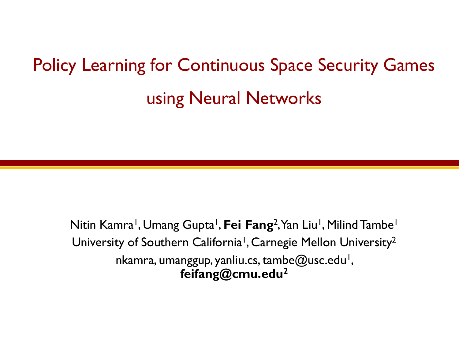# Policy Learning for Continuous Space Security Games using Neural Networks

Nitin Kamra<sup>1</sup>, Umang Gupta<sup>1</sup>, Fei Fang<sup>2</sup>, Yan Liu<sup>1</sup>, Milind Tambe<sup>1</sup> University of Southern California<sup>1</sup>, Carnegie Mellon University<sup>2</sup> nkamra, umanggup, yanliu.cs, tambe@usc.edu<sup>1</sup>, **feifang@cmu.edu2**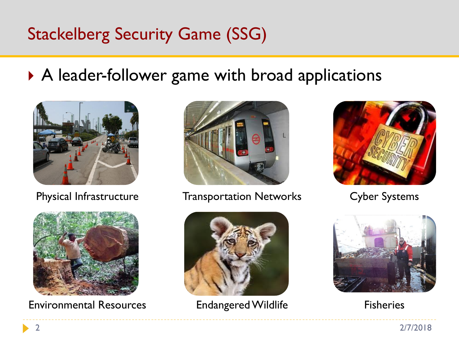# Stackelberg Security Game (SSG)

#### A leader-follower game with broad applications





Environmental Resources **Endangered Wildlife** Fisheries



Physical Infrastructure Transportation Networks Cyber Systems





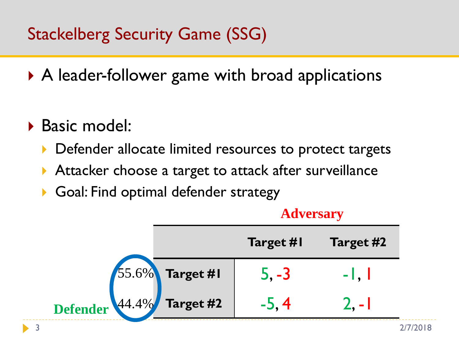# Stackelberg Security Game (SSG)

- ▶ A leader-follower game with broad applications
- ▶ Basic model:
	- **Defender allocate limited resources to protect targets**
	- Attacker choose a target to attack after surveillance
	- Goal: Find optimal defender strategy

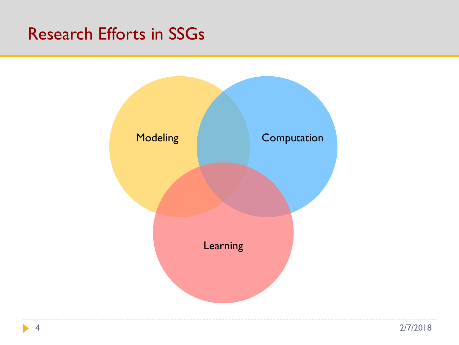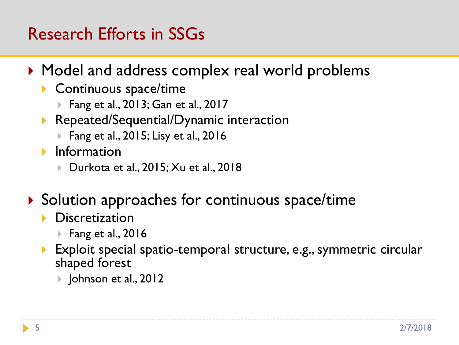- ▶ Model and address complex real world problems
	- **Continuous space/time** 
		- ▶ Fang et al., 2013; Gan et al., 2017
	- Repeated/Sequential/Dynamic interaction
		- ▶ Fang et al., 2015; Lisy et al., 2016
	- $\blacktriangleright$  Information
		- Durkota et al., 2015; Xu et al., 2018
- $\triangleright$  Solution approaches for continuous space/time
	- **Discretization** 
		- **▶ Fang et al., 2016**
	- ▶ Exploit special spatio-temporal structure, e.g., symmetric circular shaped forest
		- ▶ Johnson et al., 2012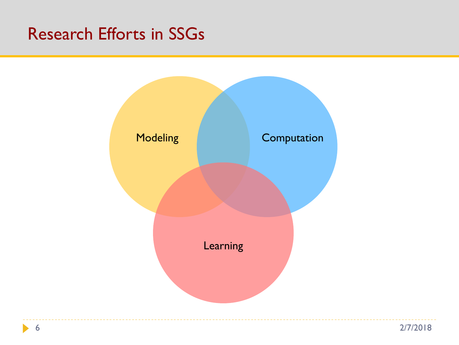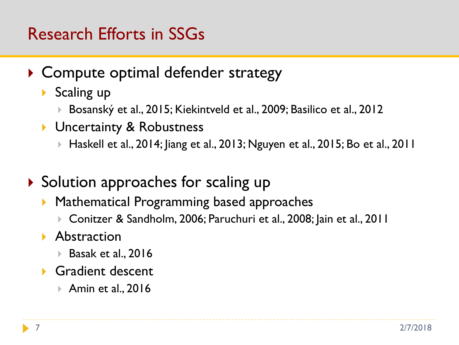- ▶ Compute optimal defender strategy
	- Scaling up
		- Bosanskýet al., 2015; Kiekintveld et al., 2009; Basilico et al., 2012
	- **I** Uncertainty & Robustness
		- Haskell et al., 2014; Jiang et al., 2013; Nguyen et al., 2015; Bo et al., 2011
- $\triangleright$  Solution approaches for scaling up
	- Mathematical Programming based approaches
		- Conitzer & Sandholm, 2006; Paruchuri et al., 2008; Jain et al., 2011
	- **Abstraction** 
		- **▶ Basak et al., 2016**
	- Gradient descent
		- **Amin et al., 2016**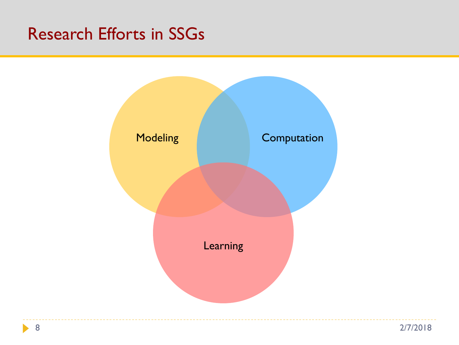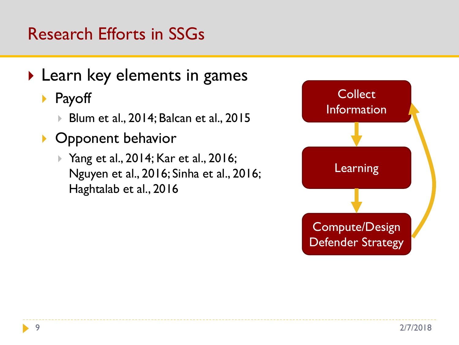- ▶ Learn key elements in games
	- Payoff
		- Blum et al., 2014; Balcan et al., 2015
	- **Opponent behavior** 
		- Yang et al., 2014; Kar et al., 2016; Nguyen et al., 2016; Sinha et al., 2016; Haghtalab et al., 2016

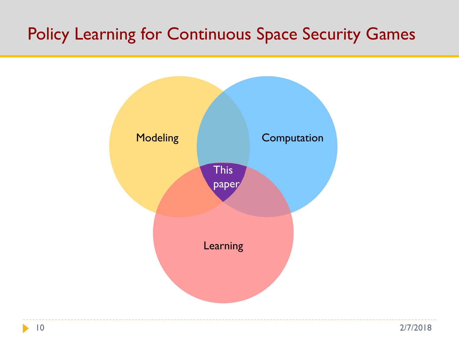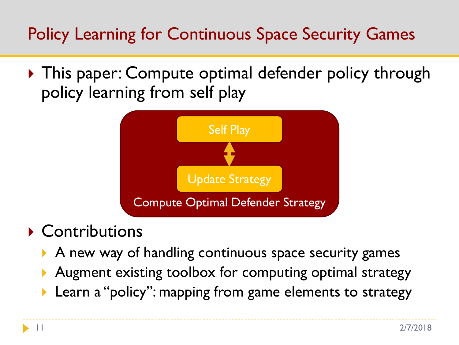▶ This paper: Compute optimal defender policy through policy learning from self play



## ▶ Contributions

- A new way of handling continuous space security games
- Augment existing toolbox for computing optimal strategy
- Learn a "policy": mapping from game elements to strategy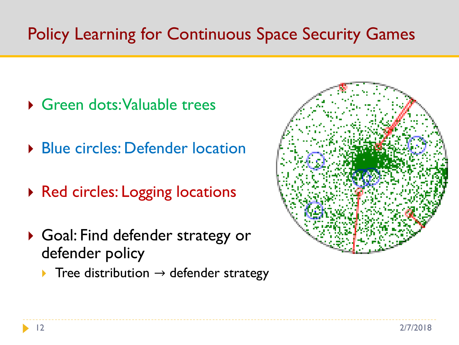- Green dots: Valuable trees
- **Blue circles: Defender location**
- ▶ Red circles: Logging locations
- ▶ Goal: Find defender strategy or defender policy
	- Tree distribution  $\rightarrow$  defender strategy

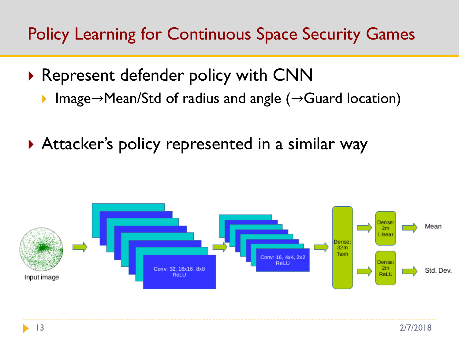- Represent defender policy with CNN
	- Image $\rightarrow$ Mean/Std of radius and angle ( $\rightarrow$ Guard location)
- ▶ Attacker's policy represented in a similar way

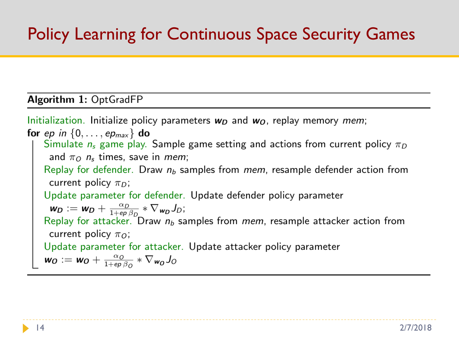Algorithm 1: OptGradFP

Initialization. Initialize policy parameters  $w_D$  and  $w_O$ , replay memory *mem*; for ep in  $\{0, \ldots, e_{p_{max}}\}$  do Simulate  $n_s$  game play. Sample game setting and actions from current policy  $\pi_D$ and  $\pi_{\Omega}$   $n_s$  times, save in *mem*; Replay for defender. Draw  $n_b$  samples from mem, resample defender action from current policy  $\pi_D$ ; Update parameter for defender. Update defender policy parameter  $w_D := w_D + \frac{\alpha_D}{1 + e_D \beta_D} * \nabla_{w_D} J_D;$ Replay for attacker. Draw  $n_b$  samples from *mem*, resample attacker action from current policy  $\pi_{\scriptscriptstyle O}$ ; Update parameter for attacker. Update attacker policy parameter  $w_0 := w_0 + \frac{\alpha_0}{1 + e \beta_0} * \nabla_{w_0} J_0$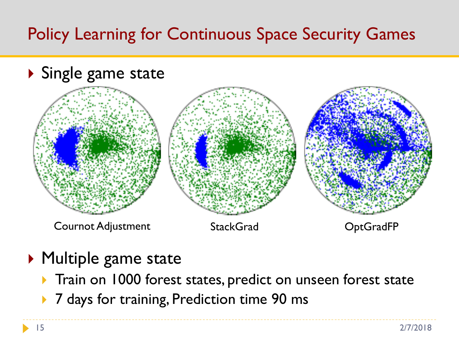

- ▶ Multiple game state
	- Train on 1000 forest states, predict on unseen forest state
	- ▶ 7 days for training, Prediction time 90 ms